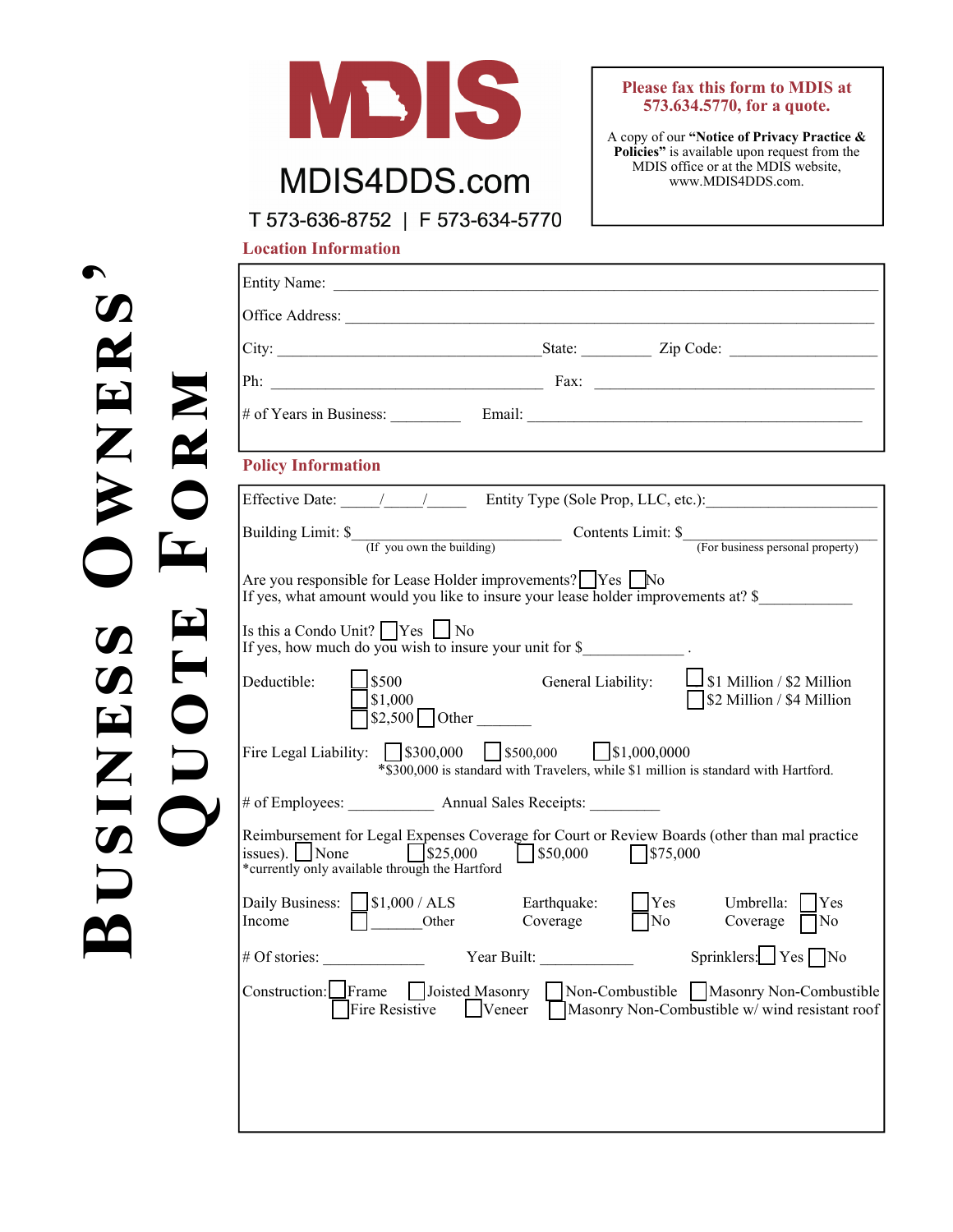

## MDIS4DDS.com

## **Please fax this form to MDIS at 573.634.5770, for a quote.**

A copy of our **"Notice of Privacy Practice & Policies"** is available upon request from the MDIS office or at the MDIS website, www.MDIS4DDS.com.

T 573-636-8752 | F 573-634-5770

**Location Information** 

**Bඎඌංඇൾඌඌ Oඐඇൾඋඌ'** 

| Entity Name:                                                                                                                                        |                                    |                                                                                                        |
|-----------------------------------------------------------------------------------------------------------------------------------------------------|------------------------------------|--------------------------------------------------------------------------------------------------------|
|                                                                                                                                                     |                                    |                                                                                                        |
|                                                                                                                                                     |                                    |                                                                                                        |
|                                                                                                                                                     |                                    |                                                                                                        |
|                                                                                                                                                     |                                    |                                                                                                        |
| <b>Policy Information</b>                                                                                                                           |                                    |                                                                                                        |
|                                                                                                                                                     |                                    | Effective Date: 11 1 1 Entity Type (Sole Prop, LLC, etc.):                                             |
|                                                                                                                                                     |                                    | Building Limit: \$<br>(If you own the building) Contents Limit: \$<br>(For business personal property) |
| Are you responsible for Lease Holder improvements?   Yes   No<br>If yes, what amount would you like to insure your lease holder improvements at? \$ |                                    |                                                                                                        |
| Is this a Condo Unit? $\bigcap$ Yes $\bigcup$ No<br>If yes, how much do you wish to insure your unit for $\$                                        |                                    |                                                                                                        |
| $\bigcup$ \$500<br>Deductible:<br>\$1,000<br>$$2,500$ Other                                                                                         |                                    | General Liability: $\Box$ \$1 Million / \$2 Million<br>S2 Million / \$4 Million                        |
| Fire Legal Liability: $\[\]$ \$300,000 $\[\]$ \$500,000 $\[\]$ \$1,000,0000                                                                         |                                    | *\$300,000 is standard with Travelers, while \$1 million is standard with Hartford.                    |
| # of Employees: Annual Sales Receipts:                                                                                                              |                                    |                                                                                                        |
| $\sqrt{\$25,000}$<br>$ $ issues). $ $ None<br>*currently only available through the Hartford                                                        | $\sqrt{$}50,000$ $\sqrt{$}575,000$ | Reimbursement for Legal Expenses Coverage for Court or Review Boards (other than mal practice          |
| Daily Business: $\bigcup$ \$1,000 / ALS<br>$\Box$<br>Other<br>Income                                                                                | Earthquake:<br>Coverage            | Yes<br>Yes<br>Umbrella:<br>$\overline{\Box}$ No<br>Coverage $\Box$ No                                  |
|                                                                                                                                                     |                                    |                                                                                                        |
| # Of stories:                                                                                                                                       | Year Built:                        | Sprinklers: $Yes \nabla$ No                                                                            |